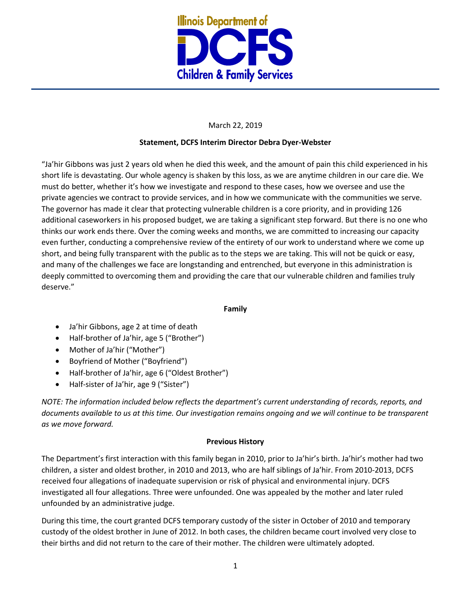

# March 22, 2019

# **Statement, DCFS Interim Director Debra Dyer-Webster**

"Ja'hir Gibbons was just 2 years old when he died this week, and the amount of pain this child experienced in his short life is devastating. Our whole agency is shaken by this loss, as we are anytime children in our care die. We must do better, whether it's how we investigate and respond to these cases, how we oversee and use the private agencies we contract to provide services, and in how we communicate with the communities we serve. The governor has made it clear that protecting vulnerable children is a core priority, and in providing 126 additional caseworkers in his proposed budget, we are taking a significant step forward. But there is no one who thinks our work ends there. Over the coming weeks and months, we are committed to increasing our capacity even further, conducting a comprehensive review of the entirety of our work to understand where we come up short, and being fully transparent with the public as to the steps we are taking. This will not be quick or easy, and many of the challenges we face are longstanding and entrenched, but everyone in this administration is deeply committed to overcoming them and providing the care that our vulnerable children and families truly deserve."

# **Family**

- Ja'hir Gibbons, age 2 at time of death
- Half-brother of Ja'hir, age 5 ("Brother")
- Mother of Ja'hir ("Mother")
- Boyfriend of Mother ("Boyfriend")
- Half-brother of Ja'hir, age 6 ("Oldest Brother")
- Half-sister of Ja'hir, age 9 ("Sister")

*NOTE: The information included below reflects the department's current understanding of records, reports, and documents available to us at this time. Our investigation remains ongoing and we will continue to be transparent as we move forward.* 

# **Previous History**

The Department's first interaction with this family began in 2010, prior to Ja'hir's birth. Ja'hir's mother had two children, a sister and oldest brother, in 2010 and 2013, who are half siblings of Ja'hir. From 2010-2013, DCFS received four allegations of inadequate supervision or risk of physical and environmental injury. DCFS investigated all four allegations. Three were unfounded. One was appealed by the mother and later ruled unfounded by an administrative judge.

During this time, the court granted DCFS temporary custody of the sister in October of 2010 and temporary custody of the oldest brother in June of 2012. In both cases, the children became court involved very close to their births and did not return to the care of their mother. The children were ultimately adopted.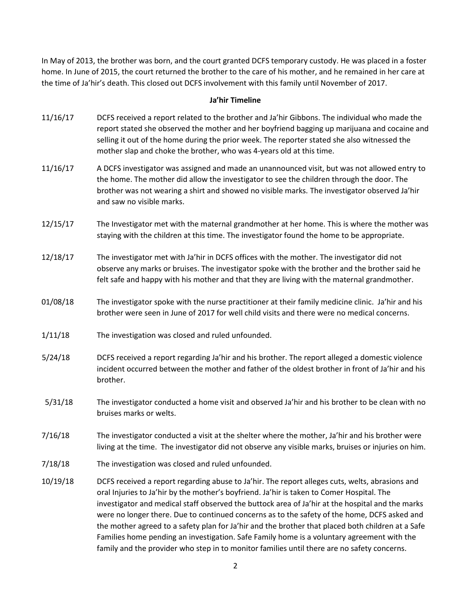In May of 2013, the brother was born, and the court granted DCFS temporary custody. He was placed in a foster home. In June of 2015, the court returned the brother to the care of his mother, and he remained in her care at the time of Ja'hir's death. This closed out DCFS involvement with this family until November of 2017.

## **Ja'hir Timeline**

- 11/16/17 DCFS received a report related to the brother and Ja'hir Gibbons. The individual who made the report stated she observed the mother and her boyfriend bagging up marijuana and cocaine and selling it out of the home during the prior week. The reporter stated she also witnessed the mother slap and choke the brother, who was 4-years old at this time.
- 11/16/17 A DCFS investigator was assigned and made an unannounced visit, but was not allowed entry to the home. The mother did allow the investigator to see the children through the door. The brother was not wearing a shirt and showed no visible marks. The investigator observed Ja'hir and saw no visible marks.
- 12/15/17 The Investigator met with the maternal grandmother at her home. This is where the mother was staying with the children at this time. The investigator found the home to be appropriate.
- 12/18/17 The investigator met with Ja'hir in DCFS offices with the mother. The investigator did not observe any marks or bruises. The investigator spoke with the brother and the brother said he felt safe and happy with his mother and that they are living with the maternal grandmother.
- 01/08/18 The investigator spoke with the nurse practitioner at their family medicine clinic. Ja'hir and his brother were seen in June of 2017 for well child visits and there were no medical concerns.
- 1/11/18 The investigation was closed and ruled unfounded.
- 5/24/18 DCFS received a report regarding Ja'hir and his brother. The report alleged a domestic violence incident occurred between the mother and father of the oldest brother in front of Ja'hir and his brother.
- 5/31/18 The investigator conducted a home visit and observed Ja'hir and his brother to be clean with no bruises marks or welts.
- 7/16/18 The investigator conducted a visit at the shelter where the mother, Ja'hir and his brother were living at the time. The investigator did not observe any visible marks, bruises or injuries on him.
- 7/18/18 The investigation was closed and ruled unfounded.
- 10/19/18 DCFS received a report regarding abuse to Ja'hir. The report alleges cuts, welts, abrasions and oral Injuries to Ja'hir by the mother's boyfriend. Ja'hir is taken to Comer Hospital. The investigator and medical staff observed the buttock area of Ja'hir at the hospital and the marks were no longer there. Due to continued concerns as to the safety of the home, DCFS asked and the mother agreed to a safety plan for Ja'hir and the brother that placed both children at a Safe Families home pending an investigation. Safe Family home is a voluntary agreement with the family and the provider who step in to monitor families until there are no safety concerns.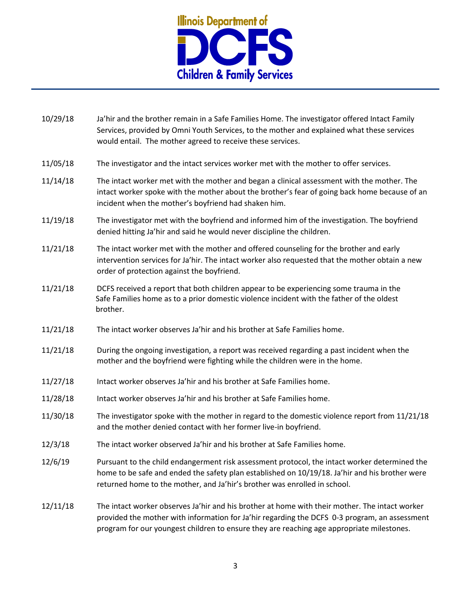

| 10/29/18 | Ja'hir and the brother remain in a Safe Families Home. The investigator offered Intact Family<br>Services, provided by Omni Youth Services, to the mother and explained what these services<br>would entail. The mother agreed to receive these services.                                    |
|----------|----------------------------------------------------------------------------------------------------------------------------------------------------------------------------------------------------------------------------------------------------------------------------------------------|
| 11/05/18 | The investigator and the intact services worker met with the mother to offer services.                                                                                                                                                                                                       |
| 11/14/18 | The intact worker met with the mother and began a clinical assessment with the mother. The<br>intact worker spoke with the mother about the brother's fear of going back home because of an<br>incident when the mother's boyfriend had shaken him.                                          |
| 11/19/18 | The investigator met with the boyfriend and informed him of the investigation. The boyfriend<br>denied hitting Ja'hir and said he would never discipline the children.                                                                                                                       |
| 11/21/18 | The intact worker met with the mother and offered counseling for the brother and early<br>intervention services for Ja'hir. The intact worker also requested that the mother obtain a new<br>order of protection against the boyfriend.                                                      |
| 11/21/18 | DCFS received a report that both children appear to be experiencing some trauma in the<br>Safe Families home as to a prior domestic violence incident with the father of the oldest<br>brother.                                                                                              |
| 11/21/18 | The intact worker observes Ja'hir and his brother at Safe Families home.                                                                                                                                                                                                                     |
| 11/21/18 | During the ongoing investigation, a report was received regarding a past incident when the<br>mother and the boyfriend were fighting while the children were in the home.                                                                                                                    |
| 11/27/18 | Intact worker observes Ja'hir and his brother at Safe Families home.                                                                                                                                                                                                                         |
| 11/28/18 | Intact worker observes Ja'hir and his brother at Safe Families home.                                                                                                                                                                                                                         |
| 11/30/18 | The investigator spoke with the mother in regard to the domestic violence report from 11/21/18<br>and the mother denied contact with her former live-in boyfriend.                                                                                                                           |
| 12/3/18  | The intact worker observed Ja'hir and his brother at Safe Families home.                                                                                                                                                                                                                     |
| 12/6/19  | Pursuant to the child endangerment risk assessment protocol, the intact worker determined the<br>home to be safe and ended the safety plan established on 10/19/18. Ja'hir and his brother were<br>returned home to the mother, and Ja'hir's brother was enrolled in school.                 |
| 12/11/18 | The intact worker observes Ja'hir and his brother at home with their mother. The intact worker<br>provided the mother with information for Ja'hir regarding the DCFS 0-3 program, an assessment<br>program for our youngest children to ensure they are reaching age appropriate milestones. |